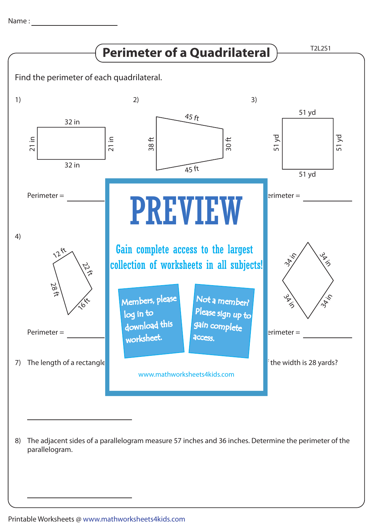

The adjacent sides of a parallelogram measure 57 inches and 36 inches. Determine the perimeter of the 8) parallelogram.